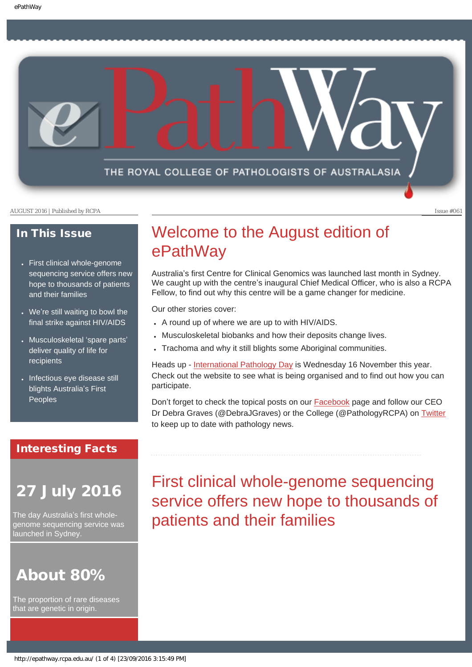THE ROYAL COLLEGE OF PATHOLOGISTS OF AUSTRALASIA

AUGUST 2016 | Published by RCPA **Issue #061** 

### In This Issue

- [First clinical whole-genome](#page-0-0) [sequencing service offers new](#page-0-0)  [hope to thousands of patients](#page-0-0)  [and their families](#page-0-0)
- We're still waiting to bowl the [final strike against HIV/AIDS](#page-1-0)
- [Musculoskeletal](#page-2-0) 'spare parts' [deliver quality of life for](#page-2-0)  [recipients](#page-2-0)
- Infectious eve disease still [blights Australia](#page-2-1)'s First [Peoples](#page-2-1)

### Interesting Facts

# <span id="page-0-0"></span>27 July 2016

The day Australia's first wholegenome sequencing service was launched in Sydney.

# About 80%

The proportion of rare diseases that are genetic in origin.

# Welcome to the August edition of ePathWay

Australia's first Centre for Clinical Genomics was launched last month in Sydney. We caught up with the centre's inaugural Chief Medical Officer, who is also a RCPA Fellow, to find out why this centre will be a game changer for medicine.

Our other stories cover:

- A round up of where we are up to with HIV/AIDS.
- Musculoskeletal biobanks and how their deposits change lives.
- Trachoma and why it still blights some Aboriginal communities.

Heads up - [International Pathology Day](http://www.rcpa.edu.au/Home/Pathology-Day) is Wednesday 16 November this year. Check out the website to see what is being organised and to find out how you can participate.

Don't forget to check the topical posts on our **Facebook** page and follow our CEO Dr Debra Graves (@DebraJGraves) or the College (@PathologyRCPA) on [Twitter](https://twitter.com/pathologyrcpa) to keep up to date with pathology news.

# First clinical whole-genome sequencing service offers new hope to thousands of patients and their families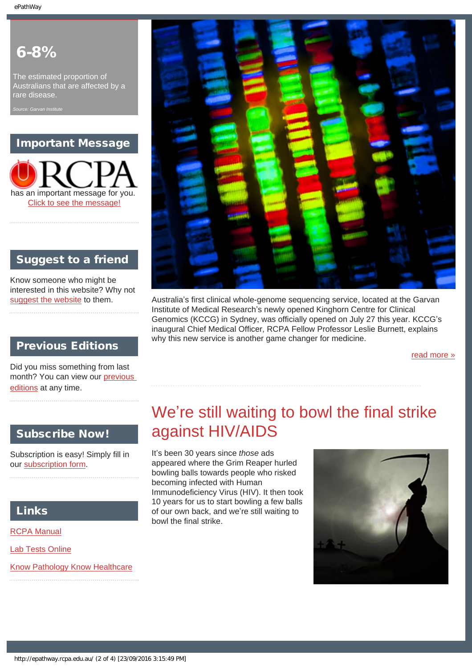# 6-8%

The estimated proportion of Australians that are affected by a rare disease.

*Source: Garvan Institute*

# Important Message



# Suggest to a friend

Know someone who might be interested in this website? Why not [suggest the website](mailto:?Subject=I%20think%20you%20should%20read%20this%20Newsletter=
http://epathway.rcpa.edu.au/index.html) to them.

## Previous Editions

Did you miss something from last month? You can view our [previous](#page-5-0) [editions](#page-5-0) at any time.

### Subscribe Now!

<span id="page-1-0"></span>

Subscription is easy! Simply fill in our [subscription form](#page-7-0).

### Links

[RCPA Manual](http://rcpamanual.edu.au/)

[Lab Tests Online](http://www.labtestsonline.org.au/)

[Know Pathology Know Healthcare](http://knowpathology.com.au/)



Australia's first clinical whole-genome sequencing service, located at the Garvan Institute of Medical Research's newly opened Kinghorn Centre for Clinical Genomics (KCCG) in Sydney, was officially opened on July 27 this year. KCCG's inaugural Chief Medical Officer, RCPA Fellow Professor Leslie Burnett, explains why this new service is another game changer for medicine.

[read more »](#page-8-0)

# We're still waiting to bowl the final strike against HIV/AIDS

It's been 30 years since *those* ads appeared where the Grim Reaper hurled bowling balls towards people who risked becoming infected with Human Immunodeficiency Virus (HIV). It then took 10 years for us to start bowling a few balls of our own back, and we're still waiting to bowl the final strike.

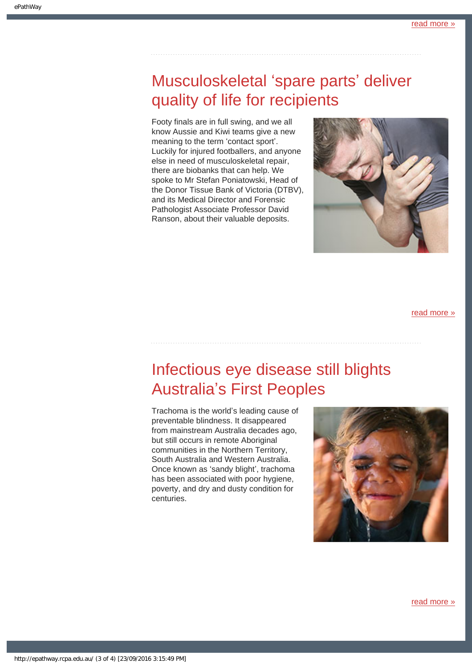# <span id="page-2-0"></span>Musculoskeletal 'spare parts' deliver quality of life for recipients

Footy finals are in full swing, and we all know Aussie and Kiwi teams give a new meaning to the term 'contact sport'. Luckily for injured footballers, and anyone else in need of musculoskeletal repair, there are biobanks that can help. We spoke to Mr Stefan Poniatowski, Head of the Donor Tissue Bank of Victoria (DTBV), and its Medical Director and Forensic Pathologist Associate Professor David Ranson, about their valuable deposits.



[read more »](#page-12-0)

# <span id="page-2-1"></span>Infectious eye disease still blights Australia's First Peoples

Trachoma is the world's leading cause of preventable blindness. It disappeared from mainstream Australia decades ago, but still occurs in remote Aboriginal communities in the Northern Territory, South Australia and Western Australia. Once known as 'sandy blight', trachoma has been associated with poor hygiene, poverty, and dry and dusty condition for centuries.



[read more »](#page-14-0)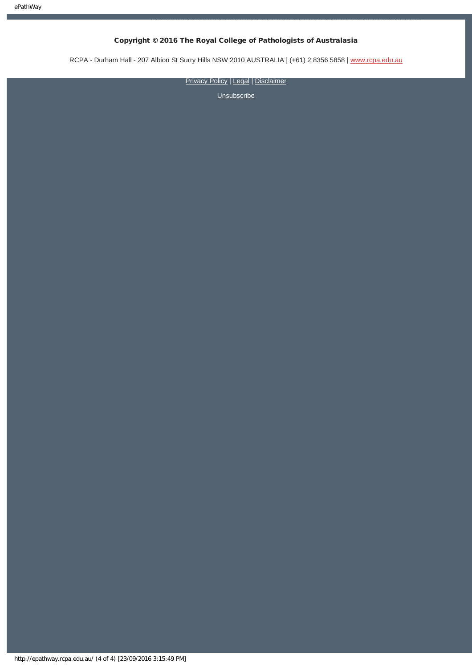### Copyright © 2016 The Royal College of Pathologists of Australasia

RCPA - Durham Hall - 207 Albion St Surry Hills NSW 2010 AUSTRALIA | (+61) 2 8356 5858 | [www.rcpa.edu.au](https://www.rcpa.edu.au/)

[Privacy Policy](https://www.rcpa.edu.au/Privacy-Policy.aspx) | [Legal](https://www.rcpa.edu.au/Legal.aspx) | [Disclaimer](https://www.rcpa.edu.au/Disclaimer.aspx)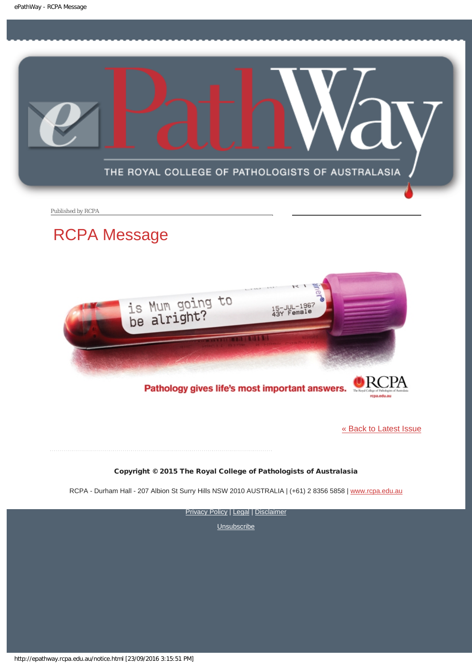<span id="page-4-0"></span>

Published by RCPA

# RCPA Message



Pathology gives life's most important answers.

[« Back to Latest Issue](http://epathway.rcpa.edu.au/index.html)

Copyright © 2015 The Royal College of Pathologists of Australasia

RCPA - Durham Hall - 207 Albion St Surry Hills NSW 2010 AUSTRALIA | (+61) 2 8356 5858 | [www.rcpa.edu.au](https://www.rcpa.edu.au/)

**[Privacy Policy](https://www.rcpa.edu.au/Content-Library/Privacy.aspx) | [Legal](https://www.rcpa.edu.au/Legal.aspx) | [Disclaimer](https://www.rcpa.edu.au/Disclaimer.aspx)**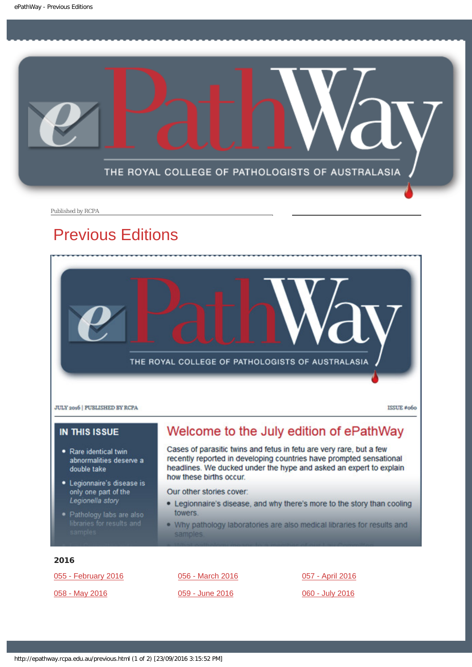<span id="page-5-0"></span>

Published by RCPA

# Previous Editions



JULY 2016 | PUBLISHED BY RCPA

ISSUE #060

### **IN THIS ISSUE**

- · Rare identical twin abnormalities deserve a double take
- · Legionnaire's disease is only one part of the Legionella story
- 

# Welcome to the July edition of ePathWay

Cases of parasitic twins and fetus in fetu are very rare, but a few recently reported in developing countries have prompted sensational headlines. We ducked under the hype and asked an expert to explain how these births occur.

Our other stories cover:

- . Legionnaire's disease, and why there's more to the story than cooling towers.
- . Why pathology laboratories are also medical libraries for results and samples

### 2016

[055 - February 2016](http://epathway.rcpa.edu.au/previous/055_0216.pdf)

[058 - May 2016](http://epathway.rcpa.edu.au/previous/058_0516.pdf)

[056 - March 2016](http://epathway.rcpa.edu.au/previous/056_0316.pdf) [059 - June 2016](http://epathway.rcpa.edu.au/previous/059_0616.pdf)

[057 - April 2016](http://epathway.rcpa.edu.au/previous/057_0416.pdf) [060 - July 2016](http://epathway.rcpa.edu.au/previous/060_0716.pdf)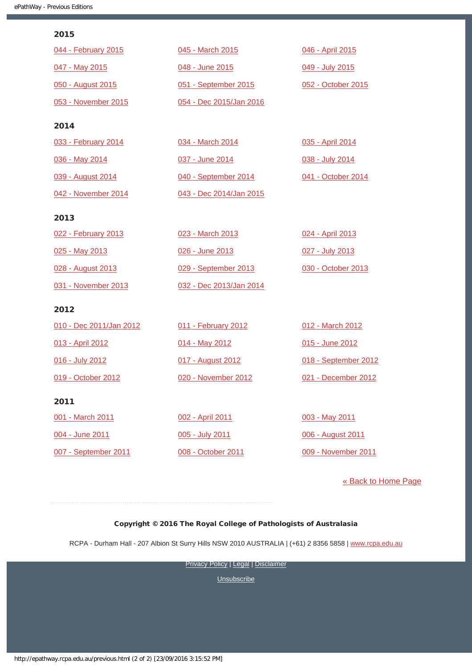### 2015

| 044 - February 2015 | 045 - March 2015        | 046 - April 2015   |
|---------------------|-------------------------|--------------------|
| 047 - May 2015      | 048 - June 2015         | 049 - July 2015    |
| 050 - August 2015   | 051 - September 2015    | 052 - October 2015 |
| 053 - November 2015 | 054 - Dec 2015/Jan 2016 |                    |
| 2014                |                         |                    |
| 033 - February 2014 | 034 - March 2014        | 035 - April 2014   |
| 036 - May 2014      | 037 - June 2014         | 038 - July 2014    |

[040 - September 2014](http://epathway.rcpa.edu.au/previous/040_0914.pdf)

[043 - Dec 2014/Jan 2015](http://epathway.rcpa.edu.au/previous/043_1214.pdf)

[039 - August 2014](http://epathway.rcpa.edu.au/previous/039_0814.pdf) [042 - November 2014](http://epathway.rcpa.edu.au/previous/042_1114.pdf)

### 2013

| 022 - February 2013 | 023 - March 2013        | 024 - April 2013   |
|---------------------|-------------------------|--------------------|
| 025 - May 2013      | 026 - June 2013         | 027 - July 2013    |
| 028 - August 2013   | 029 - September 2013    | 030 - October 2013 |
| 031 - November 2013 | 032 - Dec 2013/Jan 2014 |                    |

### 2012

| 010 - Dec 2011/Jan 2012 | 011 - February 2012 | 012 - March 2012     |
|-------------------------|---------------------|----------------------|
| 013 - April 2012        | 014 - May 2012      | 015 - June 2012      |
| 016 - July 2012         | 017 - August 2012   | 018 - September 2012 |
| 019 - October 2012      | 020 - November 2012 | 021 - December 2012  |
| 2011                    |                     |                      |

[001 - March 2011](http://epathway.rcpa.edu.au/previous/001_0311.pdf)

[004 - June 2011](http://epathway.rcpa.edu.au/previous/004_0611.pdf)

[007 - September 2011](http://epathway.rcpa.edu.au/previous/007_0911.pdf)

[002 - April 2011](http://epathway.rcpa.edu.au/previous/002_0411.pdf) [005 - July 2011](http://epathway.rcpa.edu.au/previous/005_0711.pdf) [008 - October 2011](http://epathway.rcpa.edu.au/previous/008_1011.pdf) [003 - May 2011](http://epathway.rcpa.edu.au/previous/003_0511.pdf) [006 - August 2011](http://epathway.rcpa.edu.au/previous/006_0811.pdf) [009 - November 2011](http://epathway.rcpa.edu.au/previous/009_1111.pdf)

[041 - October 2014](http://epathway.rcpa.edu.au/previous/041_1014.pdf)

### [« Back to Home Page](http://epathway.rcpa.edu.au/index.html)

### Copyright © 2016 The Royal College of Pathologists of Australasia

RCPA - Durham Hall - 207 Albion St Surry Hills NSW 2010 AUSTRALIA | (+61) 2 8356 5858 | [www.rcpa.edu.au](https://www.rcpa.edu.au/)

**[Privacy Policy](https://www.rcpa.edu.au/Content-Library/Privacy.aspx) | [Legal](https://www.rcpa.edu.au/Legal.aspx) | [Disclaimer](https://www.rcpa.edu.au/Disclaimer.aspx)**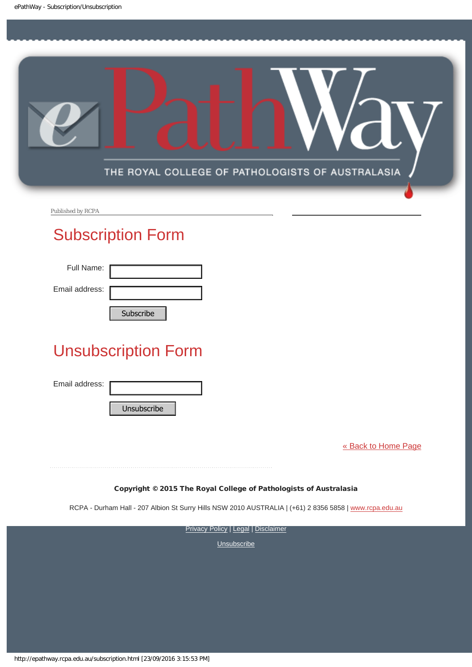<span id="page-7-0"></span>

Published by RCPA

# Subscription Form

Full Name:

Email address:

# Unsubscription Form Subscribe<br>
Unsubscription Form<br>
Email address:<br>
Unsubscribe<br>
Unsubscribe<br>
RCPA - Durham Hall - 207 Albion St Surry Hills<br>
Privacy<br>
Privacy<br>
Nttp://epathway.rcpa.edu.au/subscription.html [23/09/2016 3:15:53 PM]

Email address:

[« Back to Home Page](http://epathway.rcpa.edu.au/index.html)

Copyright © 2015 The Royal College of Pathologists of Australasia

RCPA - Durham Hall - 207 Albion St Surry Hills NSW 2010 AUSTRALIA | (+61) 2 8356 5858 | [www.rcpa.edu.au](http://www.rcpa.edu.au/)

**[Privacy Policy](http://www.rcpa.edu.au/Content-Library/Privacy.aspx) | [Legal](http://www.rcpa.edu.au/Legal.aspx) | [Disclaimer](http://www.rcpa.edu.au/Disclaimer.aspx)**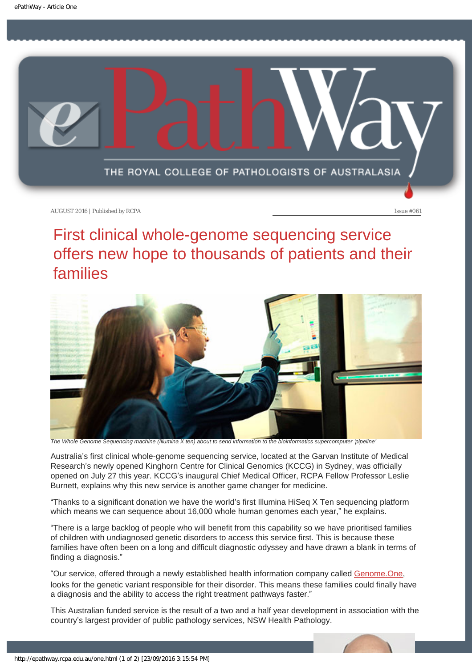<span id="page-8-0"></span>

# First clinical whole-genome sequencing service offers new hope to thousands of patients and their families



*The Whole Genome Sequencing machine (Illumina X ten) about to send information to the bioinformatics supercomputer 'pipeline'* 

Australia's first clinical whole-genome sequencing service, located at the Garvan Institute of Medical Research's newly opened Kinghorn Centre for Clinical Genomics (KCCG) in Sydney, was officially opened on July 27 this year. KCCG's inaugural Chief Medical Officer, RCPA Fellow Professor Leslie Burnett, explains why this new service is another game changer for medicine.

"Thanks to a significant donation we have the world's first Illumina HiSeq X Ten sequencing platform which means we can sequence about 16,000 whole human genomes each year," he explains.

"There is a large backlog of people who will benefit from this capability so we have prioritised families of children with undiagnosed genetic disorders to access this service first. This is because these families have often been on a long and difficult diagnostic odyssey and have drawn a blank in terms of finding a diagnosis."

"Our service, offered through a newly established health information company called [Genome.One,](https://www.genome.one/) looks for the genetic variant responsible for their disorder. This means these families could finally have a diagnosis and the ability to access the right treatment pathways faster."

This Australian funded service is the result of a two and a half year development in association with the country's largest provider of public pathology services, NSW Health Pathology.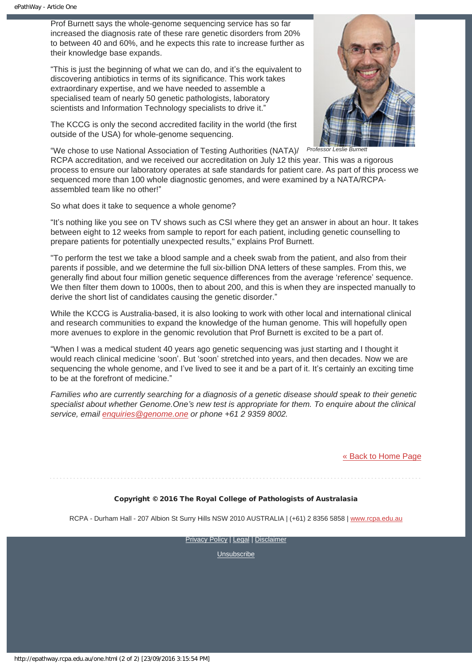Prof Burnett says the whole-genome sequencing service has so far increased the diagnosis rate of these rare genetic disorders from 20% to between 40 and 60%, and he expects this rate to increase further as their knowledge base expands.

"This is just the beginning of what we can do, and it's the equivalent to discovering antibiotics in terms of its significance. This work takes extraordinary expertise, and we have needed to assemble a specialised team of nearly 50 genetic pathologists, laboratory scientists and Information Technology specialists to drive it."



The KCCG is only the second accredited facility in the world (the first outside of the USA) for whole-genome sequencing.

**Professor Leslie Burnett** 

"We chose to use National Association of Testing Authorities (NATA)/ RCPA accreditation, and we received our accreditation on July 12 this year. This was a rigorous process to ensure our laboratory operates at safe standards for patient care. As part of this process we sequenced more than 100 whole diagnostic genomes, and were examined by a NATA/RCPAassembled team like no other!"

So what does it take to sequence a whole genome?

"It's nothing like you see on TV shows such as CSI where they get an answer in about an hour. It takes between eight to 12 weeks from sample to report for each patient, including genetic counselling to prepare patients for potentially unexpected results," explains Prof Burnett.

"To perform the test we take a blood sample and a cheek swab from the patient, and also from their parents if possible, and we determine the full six-billion DNA letters of these samples. From this, we generally find about four million genetic sequence differences from the average 'reference' sequence. We then filter them down to 1000s, then to about 200, and this is when they are inspected manually to derive the short list of candidates causing the genetic disorder."

While the KCCG is Australia-based, it is also looking to work with other local and international clinical and research communities to expand the knowledge of the human genome. This will hopefully open more avenues to explore in the genomic revolution that Prof Burnett is excited to be a part of.

"When I was a medical student 40 years ago genetic sequencing was just starting and I thought it would reach clinical medicine 'soon'. But 'soon' stretched into years, and then decades. Now we are sequencing the whole genome, and I've lived to see it and be a part of it. It's certainly an exciting time to be at the forefront of medicine."

*Families who are currently searching for a diagnosis of a genetic disease should speak to their genetic specialist about whether Genome.One's new test is appropriate for them. To enquire about the clinical service, email [enquiries@genome.one](mailto:enquiries@genome.one) or phone +61 2 9359 8002.*

### [« Back to Home Page](http://epathway.rcpa.edu.au/index.html)

### Copyright © 2016 The Royal College of Pathologists of Australasia

RCPA - Durham Hall - 207 Albion St Surry Hills NSW 2010 AUSTRALIA | (+61) 2 8356 5858 | [www.rcpa.edu.au](https://www.rcpa.edu.au/)

**[Privacy Policy](https://www.rcpa.edu.au/Content-Library/Privacy.aspx) | [Legal](https://www.rcpa.edu.au/Legal.aspx) | [Disclaimer](https://www.rcpa.edu.au/Disclaimer.aspx)**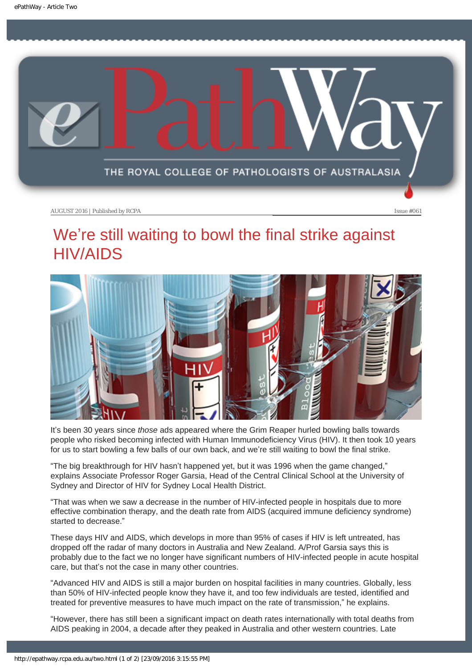<span id="page-10-0"></span>

# We're still waiting to bowl the final strike against HIV/AIDS



It's been 30 years since *those* ads appeared where the Grim Reaper hurled bowling balls towards people who risked becoming infected with Human Immunodeficiency Virus (HIV). It then took 10 years for us to start bowling a few balls of our own back, and we're still waiting to bowl the final strike.

"The big breakthrough for HIV hasn't happened yet, but it was 1996 when the game changed," explains Associate Professor Roger Garsia, Head of the Central Clinical School at the University of Sydney and Director of HIV for Sydney Local Health District.

"That was when we saw a decrease in the number of HIV-infected people in hospitals due to more effective combination therapy, and the death rate from AIDS (acquired immune deficiency syndrome) started to decrease."

These days HIV and AIDS, which develops in more than 95% of cases if HIV is left untreated, has dropped off the radar of many doctors in Australia and New Zealand. A/Prof Garsia says this is probably due to the fact we no longer have significant numbers of HIV-infected people in acute hospital care, but that's not the case in many other countries.

"Advanced HIV and AIDS is still a major burden on hospital facilities in many countries. Globally, less than 50% of HIV-infected people know they have it, and too few individuals are tested, identified and treated for preventive measures to have much impact on the rate of transmission," he explains.

"However, there has still been a significant impact on death rates internationally with total deaths from AIDS peaking in 2004, a decade after they peaked in Australia and other western countries. Late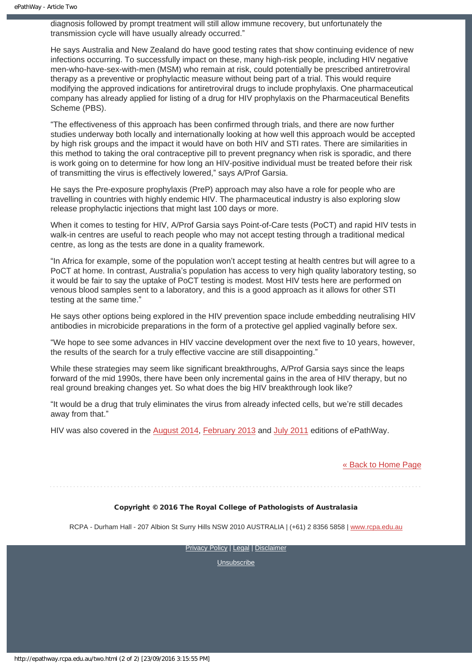diagnosis followed by prompt treatment will still allow immune recovery, but unfortunately the transmission cycle will have usually already occurred."

He says Australia and New Zealand do have good testing rates that show continuing evidence of new infections occurring. To successfully impact on these, many high-risk people, including HIV negative men-who-have-sex-with-men (MSM) who remain at risk, could potentially be prescribed antiretroviral therapy as a preventive or prophylactic measure without being part of a trial. This would require modifying the approved indications for antiretroviral drugs to include prophylaxis. One pharmaceutical company has already applied for listing of a drug for HIV prophylaxis on the Pharmaceutical Benefits Scheme (PBS).

"The effectiveness of this approach has been confirmed through trials, and there are now further studies underway both locally and internationally looking at how well this approach would be accepted by high risk groups and the impact it would have on both HIV and STI rates. There are similarities in this method to taking the oral contraceptive pill to prevent pregnancy when risk is sporadic, and there is work going on to determine for how long an HIV-positive individual must be treated before their risk of transmitting the virus is effectively lowered," says A/Prof Garsia.

He says the Pre-exposure prophylaxis (PreP) approach may also have a role for people who are travelling in countries with highly endemic HIV. The pharmaceutical industry is also exploring slow release prophylactic injections that might last 100 days or more.

When it comes to testing for HIV, A/Prof Garsia says Point-of-Care tests (PoCT) and rapid HIV tests in walk-in centres are useful to reach people who may not accept testing through a traditional medical centre, as long as the tests are done in a quality framework.

"In Africa for example, some of the population won't accept testing at health centres but will agree to a PoCT at home. In contrast, Australia's population has access to very high quality laboratory testing, so it would be fair to say the uptake of PoCT testing is modest. Most HIV tests here are performed on venous blood samples sent to a laboratory, and this is a good approach as it allows for other STI testing at the same time."

He says other options being explored in the HIV prevention space include embedding neutralising HIV antibodies in microbicide preparations in the form of a protective gel applied vaginally before sex.

"We hope to see some advances in HIV vaccine development over the next five to 10 years, however, the results of the search for a truly effective vaccine are still disappointing."

While these strategies may seem like significant breakthroughs, A/Prof Garsia says since the leaps forward of the mid 1990s, there have been only incremental gains in the area of HIV therapy, but no real ground breaking changes yet. So what does the big HIV breakthrough look like?

"It would be a drug that truly eliminates the virus from already infected cells, but we're still decades away from that."

HIV was also covered in the [August 2014](http://epathway.rcpa.edu.au/previous/039_0814.pdf), [February 2013](http://epathway.rcpa.edu.au/previous/022_0213.pdf) and [July 2011](http://epathway.rcpa.edu.au/previous/005_0711.pdf) editions of ePathWay.

### [« Back to Home Page](http://epathway.rcpa.edu.au/index.html)

### Copyright © 2016 The Royal College of Pathologists of Australasia

RCPA - Durham Hall - 207 Albion St Surry Hills NSW 2010 AUSTRALIA | (+61) 2 8356 5858 | [www.rcpa.edu.au](https://www.rcpa.edu.au/)

**[Privacy Policy](https://www.rcpa.edu.au/Content-Library/Privacy.aspx) | [Legal](https://www.rcpa.edu.au/Legal.aspx) | [Disclaimer](https://www.rcpa.edu.au/Disclaimer.aspx)**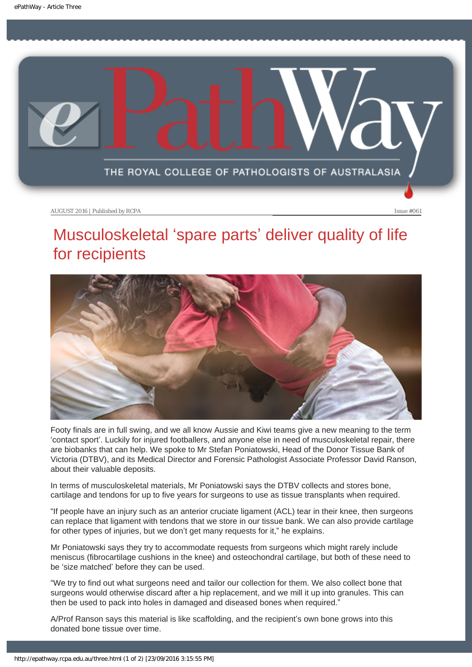<span id="page-12-0"></span>

# Musculoskeletal 'spare parts' deliver quality of life for recipients



Footy finals are in full swing, and we all know Aussie and Kiwi teams give a new meaning to the term 'contact sport'. Luckily for injured footballers, and anyone else in need of musculoskeletal repair, there are biobanks that can help. We spoke to Mr Stefan Poniatowski, Head of the Donor Tissue Bank of Victoria (DTBV), and its Medical Director and Forensic Pathologist Associate Professor David Ranson, about their valuable deposits.

In terms of musculoskeletal materials, Mr Poniatowski says the DTBV collects and stores bone, cartilage and tendons for up to five years for surgeons to use as tissue transplants when required.

"If people have an injury such as an anterior cruciate ligament (ACL) tear in their knee, then surgeons can replace that ligament with tendons that we store in our tissue bank. We can also provide cartilage for other types of injuries, but we don't get many requests for it," he explains.

Mr Poniatowski says they try to accommodate requests from surgeons which might rarely include meniscus (fibrocartilage cushions in the knee) and osteochondral cartilage, but both of these need to be 'size matched' before they can be used.

"We try to find out what surgeons need and tailor our collection for them. We also collect bone that surgeons would otherwise discard after a hip replacement, and we mill it up into granules. This can then be used to pack into holes in damaged and diseased bones when required."

A/Prof Ranson says this material is like scaffolding, and the recipient's own bone grows into this donated bone tissue over time.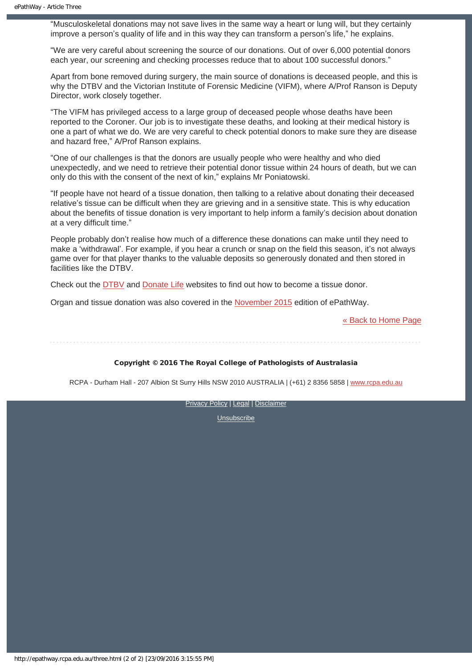"Musculoskeletal donations may not save lives in the same way a heart or lung will, but they certainly improve a person's quality of life and in this way they can transform a person's life," he explains.

"We are very careful about screening the source of our donations. Out of over 6,000 potential donors each year, our screening and checking processes reduce that to about 100 successful donors."

Apart from bone removed during surgery, the main source of donations is deceased people, and this is why the DTBV and the Victorian Institute of Forensic Medicine (VIFM), where A/Prof Ranson is Deputy Director, work closely together.

"The VIFM has privileged access to a large group of deceased people whose deaths have been reported to the Coroner. Our job is to investigate these deaths, and looking at their medical history is one a part of what we do. We are very careful to check potential donors to make sure they are disease and hazard free," A/Prof Ranson explains.

"One of our challenges is that the donors are usually people who were healthy and who died unexpectedly, and we need to retrieve their potential donor tissue within 24 hours of death, but we can only do this with the consent of the next of kin," explains Mr Poniatowski.

"If people have not heard of a tissue donation, then talking to a relative about donating their deceased relative's tissue can be difficult when they are grieving and in a sensitive state. This is why education about the benefits of tissue donation is very important to help inform a family's decision about donation at a very difficult time."

People probably don't realise how much of a difference these donations can make until they need to make a 'withdrawal'. For example, if you hear a crunch or snap on the field this season, it's not always game over for that player thanks to the valuable deposits so generously donated and then stored in facilities like the DTBV.

Check out the [DTBV](http://www.dtbv.org.au/) and [Donate Life](http://www.donatelife.gov.au/) websites to find out how to become a tissue donor.

Organ and tissue donation was also covered in the [November 2015](http://epathway.rcpa.edu.au/previous/053_1115.pdf) edition of ePathWay.

[« Back to Home Page](http://epathway.rcpa.edu.au/index.html)

### Copyright © 2016 The Royal College of Pathologists of Australasia

RCPA - Durham Hall - 207 Albion St Surry Hills NSW 2010 AUSTRALIA | (+61) 2 8356 5858 | [www.rcpa.edu.au](https://www.rcpa.edu.au/)

[Privacy Policy](https://www.rcpa.edu.au/Content-Library/Privacy.aspx) | [Legal](https://www.rcpa.edu.au/Legal.aspx) | [Disclaimer](https://www.rcpa.edu.au/Disclaimer.aspx)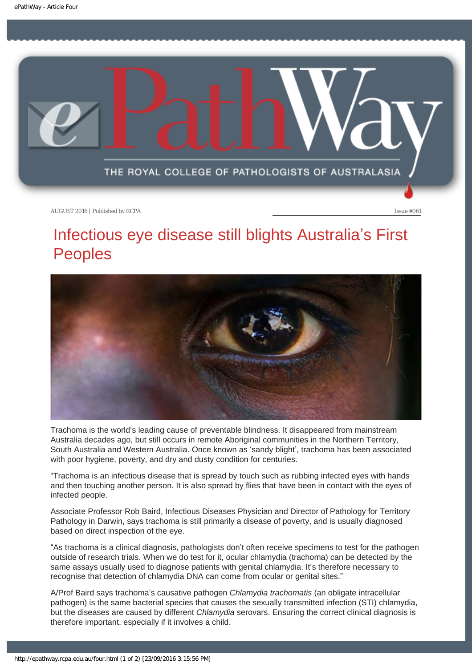<span id="page-14-0"></span>

# Infectious eye disease still blights Australia's First Peoples



Trachoma is the world's leading cause of preventable blindness. It disappeared from mainstream Australia decades ago, but still occurs in remote Aboriginal communities in the Northern Territory, South Australia and Western Australia. Once known as 'sandy blight', trachoma has been associated with poor hygiene, poverty, and dry and dusty condition for centuries.

"Trachoma is an infectious disease that is spread by touch such as rubbing infected eyes with hands and then touching another person. It is also spread by flies that have been in contact with the eyes of infected people.

Associate Professor Rob Baird, Infectious Diseases Physician and Director of Pathology for Territory Pathology in Darwin, says trachoma is still primarily a disease of poverty, and is usually diagnosed based on direct inspection of the eye.

"As trachoma is a clinical diagnosis, pathologists don't often receive specimens to test for the pathogen outside of research trials. When we do test for it, ocular chlamydia (trachoma) can be detected by the same assays usually used to diagnose patients with genital chlamydia. It's therefore necessary to recognise that detection of chlamydia DNA can come from ocular or genital sites."

A/Prof Baird says trachoma's causative pathogen *Chlamydia trachomatis* (an obligate intracellular pathogen) is the same bacterial species that causes the sexually transmitted infection (STI) chlamydia, but the diseases are caused by different *Chlamydia* serovars. Ensuring the correct clinical diagnosis is therefore important, especially if it involves a child.